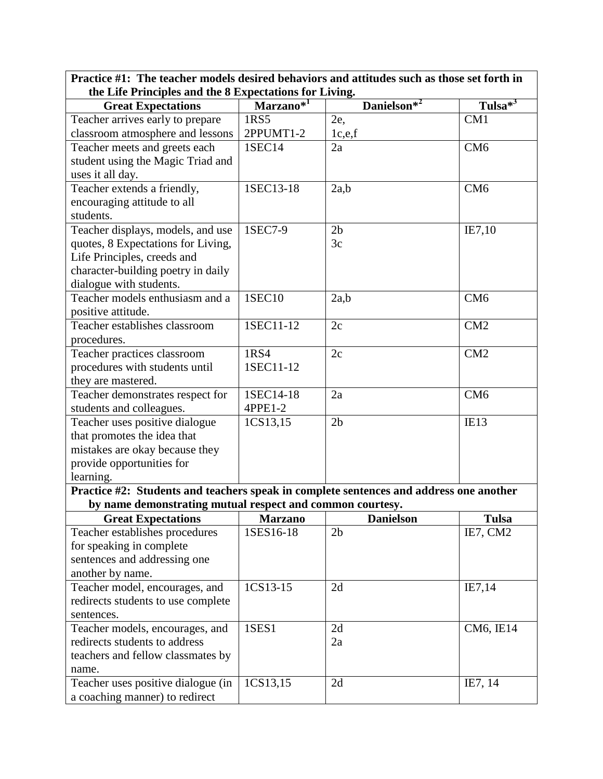| the Life Principles and the 8 Expectations for Living.                                              |                       |                         |                           |  |
|-----------------------------------------------------------------------------------------------------|-----------------------|-------------------------|---------------------------|--|
| <b>Great Expectations</b>                                                                           | Marzano <sup>*1</sup> | Danielson <sup>*2</sup> | Tulsa $\overline{^{*^3}}$ |  |
| Teacher arrives early to prepare                                                                    | 1RS5                  | $2e$ ,                  | CM1                       |  |
| classroom atmosphere and lessons                                                                    | 2PPUMT1-2             | 1c,e,f                  |                           |  |
| Teacher meets and greets each                                                                       | 1SEC14                | 2a                      | CM <sub>6</sub>           |  |
| student using the Magic Triad and                                                                   |                       |                         |                           |  |
| uses it all day.                                                                                    |                       |                         |                           |  |
| Teacher extends a friendly,                                                                         | 1SEC13-18             | 2a,b                    | CM <sub>6</sub>           |  |
| encouraging attitude to all                                                                         |                       |                         |                           |  |
| students.                                                                                           |                       |                         |                           |  |
| Teacher displays, models, and use                                                                   | 1SEC7-9               | 2 <sub>b</sub>          | IE7,10                    |  |
| quotes, 8 Expectations for Living,                                                                  |                       | 3c                      |                           |  |
| Life Principles, creeds and                                                                         |                       |                         |                           |  |
| character-building poetry in daily                                                                  |                       |                         |                           |  |
| dialogue with students.                                                                             |                       |                         |                           |  |
| Teacher models enthusiasm and a                                                                     | 1SEC10                | 2a,b                    | CM <sub>6</sub>           |  |
| positive attitude.                                                                                  |                       |                         |                           |  |
| Teacher establishes classroom                                                                       | 1SEC11-12             | 2c                      | CM2                       |  |
| procedures.                                                                                         |                       |                         |                           |  |
| Teacher practices classroom                                                                         | 1RS4                  | 2c                      | CM2                       |  |
| procedures with students until                                                                      | 1SEC11-12             |                         |                           |  |
| they are mastered.                                                                                  |                       |                         |                           |  |
| Teacher demonstrates respect for                                                                    | 1SEC14-18<br>4PPE1-2  | 2a                      | CM <sub>6</sub>           |  |
| students and colleagues.                                                                            |                       |                         |                           |  |
| Teacher uses positive dialogue                                                                      | 1CS13,15              | 2 <sub>b</sub>          | IE13                      |  |
| that promotes the idea that                                                                         |                       |                         |                           |  |
| mistakes are okay because they                                                                      |                       |                         |                           |  |
| provide opportunities for                                                                           |                       |                         |                           |  |
| learning.<br>Practice #2: Students and teachers speak in complete sentences and address one another |                       |                         |                           |  |
| by name demonstrating mutual respect and common courtesy.                                           |                       |                         |                           |  |
| <b>Great Expectations</b>                                                                           | <b>Marzano</b>        | <b>Danielson</b>        | <b>Tulsa</b>              |  |
| Teacher establishes procedures                                                                      | 1SES16-18             | 2 <sub>b</sub>          | IE7, CM2                  |  |
| for speaking in complete                                                                            |                       |                         |                           |  |
| sentences and addressing one                                                                        |                       |                         |                           |  |
| another by name.                                                                                    |                       |                         |                           |  |
| Teacher model, encourages, and                                                                      | 1CS13-15              | 2d                      | IE7,14                    |  |
| redirects students to use complete                                                                  |                       |                         |                           |  |
| sentences.                                                                                          |                       |                         |                           |  |
| Teacher models, encourages, and                                                                     | 1SES1                 | 2d                      | CM6, IE14                 |  |
| redirects students to address                                                                       |                       | 2a                      |                           |  |
| teachers and fellow classmates by                                                                   |                       |                         |                           |  |
| name.                                                                                               |                       |                         |                           |  |
| Teacher uses positive dialogue (in                                                                  | 1CS13,15              | 2d                      | IE7, 14                   |  |
| a coaching manner) to redirect                                                                      |                       |                         |                           |  |

**Practice #1: The teacher models desired behaviors and attitudes such as those set forth in**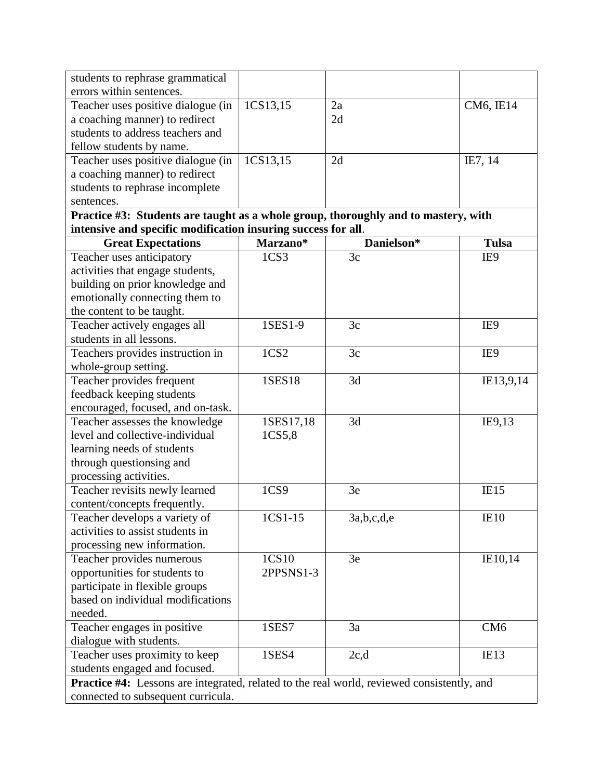| students to rephrase grammatical                                                                  |                  |            |                 |  |
|---------------------------------------------------------------------------------------------------|------------------|------------|-----------------|--|
| errors within sentences.                                                                          |                  |            |                 |  |
| Teacher uses positive dialogue (in                                                                | 1CS13,15         | 2a         | CM6, IE14       |  |
| a coaching manner) to redirect                                                                    |                  | 2d         |                 |  |
| students to address teachers and                                                                  |                  |            |                 |  |
| fellow students by name.                                                                          |                  |            |                 |  |
| Teacher uses positive dialogue (in                                                                | 1CS13,15         | 2d         | IE7, 14         |  |
| a coaching manner) to redirect                                                                    |                  |            |                 |  |
| students to rephrase incomplete                                                                   |                  |            |                 |  |
| sentences.                                                                                        |                  |            |                 |  |
| Practice #3: Students are taught as a whole group, thoroughly and to mastery, with                |                  |            |                 |  |
| intensive and specific modification insuring success for all.                                     |                  |            |                 |  |
| <b>Great Expectations</b>                                                                         | Marzano*         | Danielson* | <b>Tulsa</b>    |  |
| Teacher uses anticipatory                                                                         | 1CS3             | 3c         | IE9             |  |
| activities that engage students,                                                                  |                  |            |                 |  |
| building on prior knowledge and                                                                   |                  |            |                 |  |
| emotionally connecting them to                                                                    |                  |            |                 |  |
| the content to be taught.                                                                         |                  |            |                 |  |
| Teacher actively engages all                                                                      | 1SES1-9          | 3c         | IE9             |  |
| students in all lessons.                                                                          |                  |            |                 |  |
| Teachers provides instruction in                                                                  | 1CS <sub>2</sub> | 3c         | IE9             |  |
| whole-group setting.                                                                              |                  |            |                 |  |
| Teacher provides frequent                                                                         | <b>1SES18</b>    | 3d         | IE13,9,14       |  |
| feedback keeping students                                                                         |                  |            |                 |  |
| encouraged, focused, and on-task.                                                                 |                  |            |                 |  |
| Teacher assesses the knowledge                                                                    | 1SES17,18        | 3d         | IE9,13          |  |
| level and collective-individual                                                                   | 1CS5,8           |            |                 |  |
| learning needs of students                                                                        |                  |            |                 |  |
| through questionsing and                                                                          |                  |            |                 |  |
| processing activities.                                                                            |                  |            |                 |  |
| Teacher revisits newly learned                                                                    | 1CS9             | 3e         | IE15            |  |
| content/concepts frequently.                                                                      |                  |            |                 |  |
| Teacher develops a variety of                                                                     | $1CS1-15$        | 3a,b,c,d,e | IE10            |  |
| activities to assist students in                                                                  |                  |            |                 |  |
| processing new information.                                                                       |                  |            |                 |  |
| Teacher provides numerous                                                                         | 1CS10            | 3e         | IE10,14         |  |
| opportunities for students to                                                                     | 2PPSNS1-3        |            |                 |  |
| participate in flexible groups                                                                    |                  |            |                 |  |
| based on individual modifications                                                                 |                  |            |                 |  |
| needed.                                                                                           |                  |            |                 |  |
| Teacher engages in positive                                                                       | 1SES7            | 3a         | CM <sub>6</sub> |  |
| dialogue with students.                                                                           |                  |            |                 |  |
| Teacher uses proximity to keep                                                                    | 1SES4            | 2c,d       | IE13            |  |
| students engaged and focused.                                                                     |                  |            |                 |  |
| <b>Practice #4:</b> Lessons are integrated, related to the real world, reviewed consistently, and |                  |            |                 |  |
| connected to subsequent curricula.                                                                |                  |            |                 |  |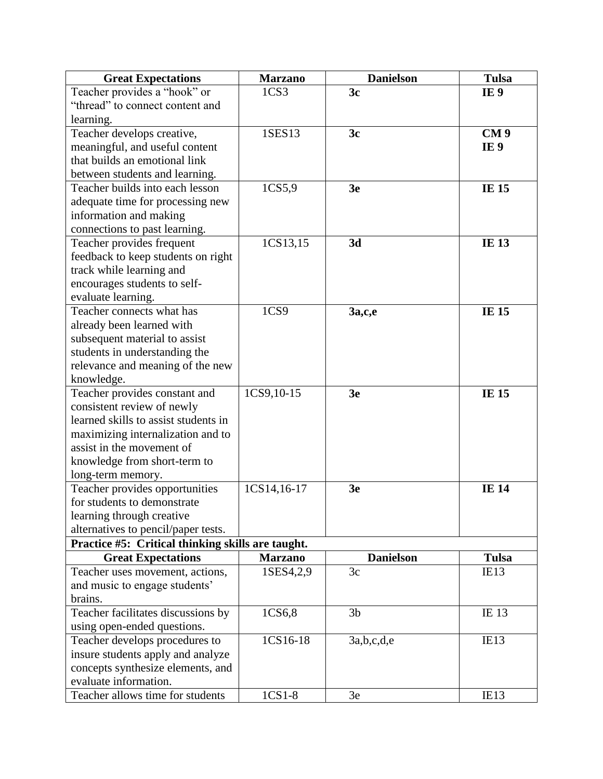| <b>Great Expectations</b>                         | <b>Marzano</b>   | <b>Danielson</b> | <b>Tulsa</b>    |
|---------------------------------------------------|------------------|------------------|-----------------|
| Teacher provides a "hook" or                      | 1 <sub>CS3</sub> | 3c               | IE <sub>9</sub> |
| "thread" to connect content and                   |                  |                  |                 |
| learning.                                         |                  |                  |                 |
| Teacher develops creative,                        | 1SES13           | 3 <sub>c</sub>   | CM <sub>9</sub> |
| meaningful, and useful content                    |                  |                  | IE <sub>9</sub> |
| that builds an emotional link                     |                  |                  |                 |
| between students and learning.                    |                  |                  |                 |
| Teacher builds into each lesson                   | 1CS5,9           | 3 <sub>e</sub>   | <b>IE 15</b>    |
| adequate time for processing new                  |                  |                  |                 |
| information and making                            |                  |                  |                 |
| connections to past learning.                     |                  |                  |                 |
| Teacher provides frequent                         | 1CS13,15         | 3d               | <b>IE 13</b>    |
| feedback to keep students on right                |                  |                  |                 |
| track while learning and                          |                  |                  |                 |
| encourages students to self-                      |                  |                  |                 |
| evaluate learning.                                |                  |                  |                 |
| Teacher connects what has                         | 1CS9             | 3a,c,e           | <b>IE 15</b>    |
| already been learned with                         |                  |                  |                 |
| subsequent material to assist                     |                  |                  |                 |
| students in understanding the                     |                  |                  |                 |
| relevance and meaning of the new                  |                  |                  |                 |
| knowledge.                                        |                  |                  |                 |
| Teacher provides constant and                     | 1CS9, 10-15      | 3 <sub>e</sub>   | <b>IE 15</b>    |
| consistent review of newly                        |                  |                  |                 |
| learned skills to assist students in              |                  |                  |                 |
| maximizing internalization and to                 |                  |                  |                 |
| assist in the movement of                         |                  |                  |                 |
| knowledge from short-term to                      |                  |                  |                 |
| long-term memory.                                 |                  |                  |                 |
| Teacher provides opportunities                    | 1CS14,16-17      | 3 <sub>e</sub>   | <b>IE 14</b>    |
| for students to demonstrate                       |                  |                  |                 |
| learning through creative                         |                  |                  |                 |
| alternatives to pencil/paper tests.               |                  |                  |                 |
| Practice #5: Critical thinking skills are taught. |                  |                  |                 |
| <b>Great Expectations</b>                         | <b>Marzano</b>   | <b>Danielson</b> | <b>Tulsa</b>    |
| Teacher uses movement, actions,                   | ISES4,2,9        | 3c               | IE13            |
| and music to engage students'                     |                  |                  |                 |
| brains.                                           |                  |                  |                 |
| Teacher facilitates discussions by                | 1CS6,8           | 3 <sub>b</sub>   | IE 13           |
| using open-ended questions.                       |                  |                  |                 |
| Teacher develops procedures to                    | 1CS16-18         | 3a,b,c,d,e       | IE13            |
| insure students apply and analyze                 |                  |                  |                 |
| concepts synthesize elements, and                 |                  |                  |                 |
| evaluate information.                             |                  |                  |                 |
| Teacher allows time for students                  | $1CS1-8$         | 3e               | IE13            |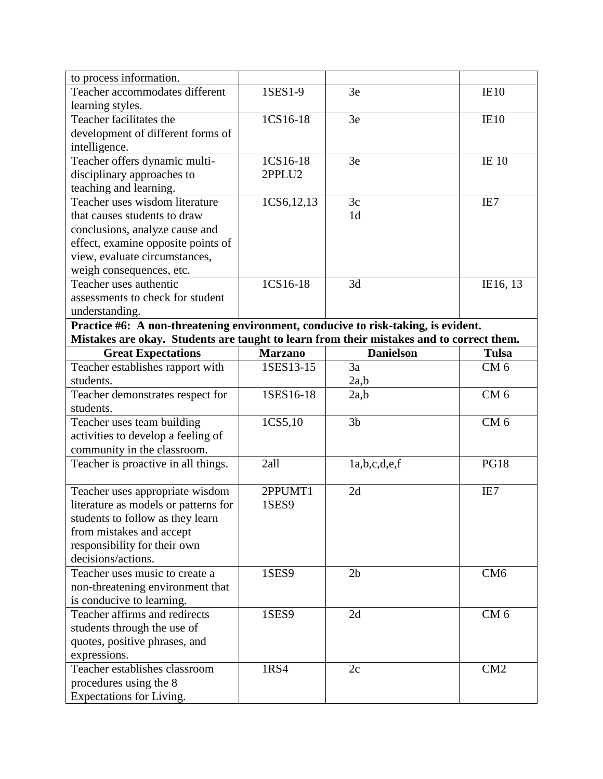| to process information.                                                           |                                                                                          |                  |                 |  |
|-----------------------------------------------------------------------------------|------------------------------------------------------------------------------------------|------------------|-----------------|--|
| Teacher accommodates different                                                    | 1SES1-9                                                                                  | 3e               | IE10            |  |
| learning styles.                                                                  |                                                                                          |                  |                 |  |
| Teacher facilitates the                                                           | 1CS16-18                                                                                 | 3e               | IE10            |  |
| development of different forms of                                                 |                                                                                          |                  |                 |  |
| intelligence.                                                                     |                                                                                          |                  |                 |  |
| Teacher offers dynamic multi-                                                     | 1CS16-18                                                                                 | 3e               | <b>IE 10</b>    |  |
| disciplinary approaches to                                                        | 2PPLU2                                                                                   |                  |                 |  |
| teaching and learning.                                                            |                                                                                          |                  |                 |  |
| Teacher uses wisdom literature                                                    | 1CS6, 12, 13                                                                             | 3c               | IE7             |  |
| that causes students to draw                                                      |                                                                                          | 1 <sub>d</sub>   |                 |  |
| conclusions, analyze cause and                                                    |                                                                                          |                  |                 |  |
| effect, examine opposite points of                                                |                                                                                          |                  |                 |  |
| view, evaluate circumstances,                                                     |                                                                                          |                  |                 |  |
| weigh consequences, etc.                                                          |                                                                                          |                  |                 |  |
| Teacher uses authentic                                                            | 1CS16-18                                                                                 | 3d               | IE16, 13        |  |
| assessments to check for student                                                  |                                                                                          |                  |                 |  |
| understanding.                                                                    |                                                                                          |                  |                 |  |
| Practice #6: A non-threatening environment, conducive to risk-taking, is evident. |                                                                                          |                  |                 |  |
|                                                                                   | Mistakes are okay. Students are taught to learn from their mistakes and to correct them. |                  |                 |  |
| <b>Great Expectations</b>                                                         | <b>Marzano</b>                                                                           | <b>Danielson</b> | <b>Tulsa</b>    |  |
| Teacher establishes rapport with                                                  | 1SES13-15                                                                                | 3a               | CM <sub>6</sub> |  |
| students.                                                                         |                                                                                          | 2a,b             |                 |  |
| Teacher demonstrates respect for                                                  | $1SES16-18$                                                                              | 2a,b             | CM <sub>6</sub> |  |
| students.                                                                         |                                                                                          |                  |                 |  |
| Teacher uses team building                                                        | 1CS5,10                                                                                  | 3 <sub>b</sub>   | CM <sub>6</sub> |  |
| activities to develop a feeling of                                                |                                                                                          |                  |                 |  |
| community in the classroom.                                                       |                                                                                          |                  |                 |  |
| Teacher is proactive in all things.                                               | 2all                                                                                     | 1a,b,c,d,e,f     | <b>PG18</b>     |  |
|                                                                                   |                                                                                          |                  |                 |  |
| Teacher uses appropriate wisdom                                                   | 2PPUMT1                                                                                  | 2d               | IE7             |  |
| literature as models or patterns for                                              | 1SES9                                                                                    |                  |                 |  |
| students to follow as they learn                                                  |                                                                                          |                  |                 |  |
| from mistakes and accept                                                          |                                                                                          |                  |                 |  |
|                                                                                   |                                                                                          |                  |                 |  |
| responsibility for their own                                                      |                                                                                          |                  |                 |  |
| decisions/actions.                                                                |                                                                                          |                  |                 |  |
| Teacher uses music to create a                                                    | 1SES9                                                                                    | 2 <sub>b</sub>   | CM <sub>6</sub> |  |
| non-threatening environment that                                                  |                                                                                          |                  |                 |  |
| is conducive to learning.                                                         |                                                                                          |                  |                 |  |
| Teacher affirms and redirects                                                     | 1SES9                                                                                    | 2d               | CM <sub>6</sub> |  |
| students through the use of                                                       |                                                                                          |                  |                 |  |
| quotes, positive phrases, and                                                     |                                                                                          |                  |                 |  |
| expressions.                                                                      |                                                                                          |                  |                 |  |
| Teacher establishes classroom                                                     | 1RS4                                                                                     | 2c               | CM2             |  |
| procedures using the 8<br>Expectations for Living.                                |                                                                                          |                  |                 |  |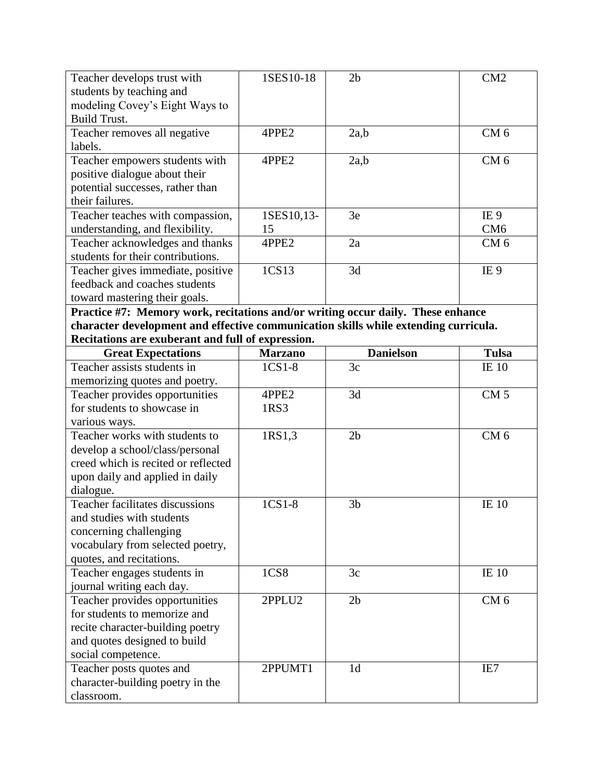| Teacher develops trust with                                                         | 1SES10-18      | 2 <sub>b</sub>   | CM2             |
|-------------------------------------------------------------------------------------|----------------|------------------|-----------------|
| students by teaching and                                                            |                |                  |                 |
| modeling Covey's Eight Ways to                                                      |                |                  |                 |
| <b>Build Trust.</b>                                                                 |                |                  |                 |
| Teacher removes all negative                                                        | 4PPE2          | 2a,b             | CM <sub>6</sub> |
| labels.                                                                             |                |                  |                 |
| Teacher empowers students with                                                      | 4PPE2          | 2a,b             | CM <sub>6</sub> |
| positive dialogue about their                                                       |                |                  |                 |
| potential successes, rather than                                                    |                |                  |                 |
| their failures.                                                                     |                |                  |                 |
| Teacher teaches with compassion,                                                    | 1SES10,13-     | 3e               | IE <sub>9</sub> |
| understanding, and flexibility.                                                     | 15             |                  | CM <sub>6</sub> |
| Teacher acknowledges and thanks                                                     | 4PPE2          | 2a               | CM <sub>6</sub> |
| students for their contributions.                                                   |                |                  |                 |
| Teacher gives immediate, positive                                                   | 1CS13          | 3d               | IE <sub>9</sub> |
| feedback and coaches students                                                       |                |                  |                 |
| toward mastering their goals.                                                       |                |                  |                 |
| Practice #7: Memory work, recitations and/or writing occur daily. These enhance     |                |                  |                 |
| character development and effective communication skills while extending curricula. |                |                  |                 |
| Recitations are exuberant and full of expression.                                   |                |                  |                 |
| <b>Great Expectations</b>                                                           | <b>Marzano</b> | <b>Danielson</b> | <b>Tulsa</b>    |
| Teacher assists students in                                                         | $1CS1-8$       | 3c               | <b>IE</b> 10    |
| memorizing quotes and poetry.                                                       |                |                  |                 |
| Teacher provides opportunities                                                      | 4PPE2          | 3d               | CM <sub>5</sub> |
| for students to showcase in                                                         | 1RS3           |                  |                 |
| various ways.                                                                       |                |                  |                 |
| Teacher works with students to                                                      | 1RS1,3         | 2 <sub>b</sub>   | CM <sub>6</sub> |
| develop a school/class/personal                                                     |                |                  |                 |
| creed which is recited or reflected                                                 |                |                  |                 |
| upon daily and applied in daily                                                     |                |                  |                 |
| dialogue.                                                                           |                |                  |                 |
| <b>Teacher facilitates discussions</b>                                              | $1CS1-8$       | 3 <sub>b</sub>   | <b>IE 10</b>    |
| and studies with students                                                           |                |                  |                 |
| concerning challenging                                                              |                |                  |                 |
|                                                                                     |                |                  |                 |
| vocabulary from selected poetry,                                                    |                |                  |                 |
| quotes, and recitations.                                                            |                |                  |                 |
| Teacher engages students in                                                         | 1CS8           | 3c               | <b>IE 10</b>    |
| journal writing each day.                                                           |                |                  |                 |
| Teacher provides opportunities                                                      | 2PPLU2         | 2 <sub>b</sub>   | CM <sub>6</sub> |
| for students to memorize and                                                        |                |                  |                 |
| recite character-building poetry                                                    |                |                  |                 |
| and quotes designed to build                                                        |                |                  |                 |
| social competence.                                                                  |                |                  |                 |
| Teacher posts quotes and                                                            | 2PPUMT1        | 1 <sub>d</sub>   | IE7             |
| character-building poetry in the<br>classroom.                                      |                |                  |                 |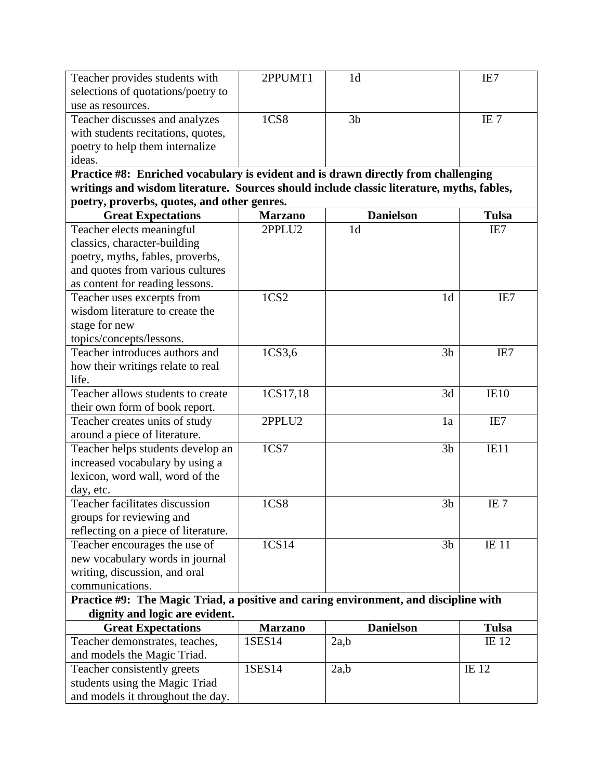| Teacher provides students with                                                            | 2PPUMT1          | 1 <sub>d</sub>   | IE7              |
|-------------------------------------------------------------------------------------------|------------------|------------------|------------------|
| selections of quotations/poetry to                                                        |                  |                  |                  |
| use as resources.                                                                         |                  |                  |                  |
| Teacher discusses and analyzes                                                            | <b>1CS8</b>      | 3 <sub>b</sub>   | IE <sub>7</sub>  |
| with students recitations, quotes,                                                        |                  |                  |                  |
| poetry to help them internalize                                                           |                  |                  |                  |
| ideas.                                                                                    |                  |                  |                  |
| Practice #8: Enriched vocabulary is evident and is drawn directly from challenging        |                  |                  |                  |
| writings and wisdom literature. Sources should include classic literature, myths, fables, |                  |                  |                  |
| poetry, proverbs, quotes, and other genres.                                               |                  |                  |                  |
| <b>Great Expectations</b>                                                                 | <b>Marzano</b>   | <b>Danielson</b> | <b>Tulsa</b>     |
| Teacher elects meaningful                                                                 | 2PPLU2           | 1 <sub>d</sub>   | IE7              |
| classics, character-building                                                              |                  |                  |                  |
| poetry, myths, fables, proverbs,                                                          |                  |                  |                  |
| and quotes from various cultures                                                          |                  |                  |                  |
| as content for reading lessons.                                                           |                  |                  |                  |
| Teacher uses excerpts from                                                                | 1CS <sub>2</sub> | 1 <sub>d</sub>   | IE7              |
| wisdom literature to create the                                                           |                  |                  |                  |
| stage for new                                                                             |                  |                  |                  |
| topics/concepts/lessons.                                                                  |                  |                  |                  |
| Teacher introduces authors and                                                            | 1CS3,6           | 3 <sub>b</sub>   | IE7              |
| how their writings relate to real                                                         |                  |                  |                  |
| life.                                                                                     |                  |                  |                  |
| Teacher allows students to create                                                         | 1CS17,18         | 3d               | IE <sub>10</sub> |
| their own form of book report.                                                            |                  |                  |                  |
| Teacher creates units of study                                                            | 2PPLU2           | 1a               | IE7              |
| around a piece of literature.                                                             |                  |                  |                  |
| Teacher helps students develop an                                                         | 1 <sub>CS7</sub> | 3 <sub>b</sub>   | IE11             |
| increased vocabulary by using a                                                           |                  |                  |                  |
| lexicon, word wall, word of the                                                           |                  |                  |                  |
| day, etc.                                                                                 |                  |                  |                  |
| Teacher facilitates discussion                                                            | <b>1CS8</b>      | 3 <sub>b</sub>   | IE <sub>7</sub>  |
| groups for reviewing and                                                                  |                  |                  |                  |
| reflecting on a piece of literature.                                                      |                  |                  |                  |
| Teacher encourages the use of                                                             | 1CS14            | 3 <sub>b</sub>   | <b>IE</b> 11     |
| new vocabulary words in journal                                                           |                  |                  |                  |
| writing, discussion, and oral                                                             |                  |                  |                  |
| communications.                                                                           |                  |                  |                  |
| Practice #9: The Magic Triad, a positive and caring environment, and discipline with      |                  |                  |                  |
| dignity and logic are evident.                                                            |                  |                  |                  |
| <b>Great Expectations</b>                                                                 | <b>Marzano</b>   | <b>Danielson</b> | <b>Tulsa</b>     |
| Teacher demonstrates, teaches,                                                            | 1SES14           | 2a,b             | IE 12            |
| and models the Magic Triad.                                                               |                  |                  |                  |
| Teacher consistently greets                                                               | 1SES14           | 2a,b             | IE 12            |
| students using the Magic Triad                                                            |                  |                  |                  |
| and models it throughout the day.                                                         |                  |                  |                  |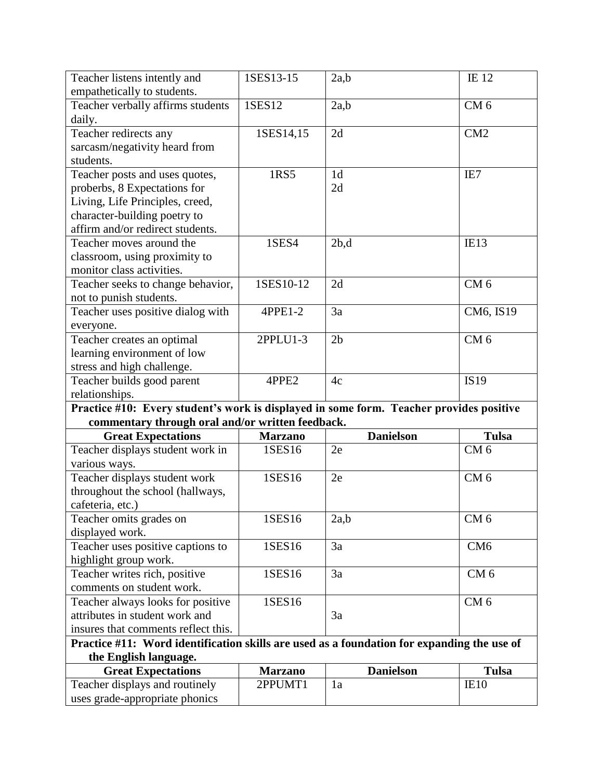| Teacher listens intently and                                                               | 1SES13-15      | 2a,b             | IE 12           |
|--------------------------------------------------------------------------------------------|----------------|------------------|-----------------|
| empathetically to students.                                                                |                |                  |                 |
| Teacher verbally affirms students                                                          | 1SES12         | 2a,b             | CM <sub>6</sub> |
| daily.                                                                                     |                |                  |                 |
| Teacher redirects any                                                                      | 1SES14,15      | 2d               | CM2             |
| sarcasm/negativity heard from                                                              |                |                  |                 |
| students.                                                                                  |                |                  |                 |
| Teacher posts and uses quotes,                                                             | 1RS5           | 1 <sub>d</sub>   | IE7             |
| proberbs, 8 Expectations for                                                               |                | 2d               |                 |
| Living, Life Principles, creed,                                                            |                |                  |                 |
| character-building poetry to                                                               |                |                  |                 |
| affirm and/or redirect students.                                                           |                |                  |                 |
| Teacher moves around the                                                                   | 1SES4          | 2b,d             | IE13            |
| classroom, using proximity to                                                              |                |                  |                 |
| monitor class activities.                                                                  |                |                  |                 |
| Teacher seeks to change behavior,                                                          | 1SES10-12      | 2d               | CM <sub>6</sub> |
| not to punish students.                                                                    |                |                  |                 |
| Teacher uses positive dialog with                                                          | 4PPE1-2        | 3a               | CM6, IS19       |
| everyone.                                                                                  |                |                  |                 |
| Teacher creates an optimal                                                                 | 2PPLU1-3       | 2 <sub>b</sub>   | CM <sub>6</sub> |
| learning environment of low                                                                |                |                  |                 |
| stress and high challenge.                                                                 |                |                  |                 |
| Teacher builds good parent                                                                 | 4PPE2          | 4c               | <b>IS19</b>     |
| relationships.                                                                             |                |                  |                 |
|                                                                                            |                |                  |                 |
| Practice #10: Every student's work is displayed in some form. Teacher provides positive    |                |                  |                 |
| commentary through oral and/or written feedback.                                           |                |                  |                 |
| <b>Great Expectations</b>                                                                  | <b>Marzano</b> | <b>Danielson</b> | <b>Tulsa</b>    |
| Teacher displays student work in                                                           | 1SES16         | 2e               | CM <sub>6</sub> |
| various ways.                                                                              |                |                  |                 |
| Teacher displays student work                                                              | 1SES16         | 2e               | CM <sub>6</sub> |
| throughout the school (hallways,                                                           |                |                  |                 |
| cafeteria, etc.)                                                                           |                |                  |                 |
| Teacher omits grades on                                                                    | 1SES16         | 2a,b             | CM <sub>6</sub> |
| displayed work.                                                                            |                |                  |                 |
| Teacher uses positive captions to                                                          | 1SES16         | 3a               | CM <sub>6</sub> |
| highlight group work.                                                                      |                |                  |                 |
| Teacher writes rich, positive                                                              | 1SES16         | 3a               | CM <sub>6</sub> |
| comments on student work.                                                                  |                |                  |                 |
| Teacher always looks for positive                                                          | 1SES16         |                  | CM <sub>6</sub> |
| attributes in student work and                                                             |                | 3a               |                 |
| insures that comments reflect this.                                                        |                |                  |                 |
| Practice #11: Word identification skills are used as a foundation for expanding the use of |                |                  |                 |
| the English language.                                                                      |                |                  |                 |
| <b>Great Expectations</b>                                                                  | <b>Marzano</b> | <b>Danielson</b> | <b>Tulsa</b>    |
| Teacher displays and routinely<br>uses grade-appropriate phonics                           | 2PPUMT1        | 1a               | IE10            |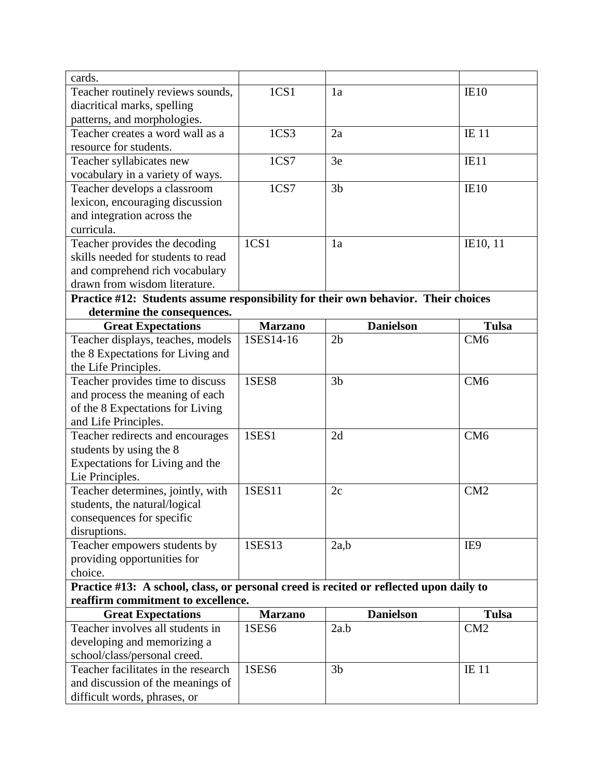| cards.                                                                                 |                  |                  |                  |
|----------------------------------------------------------------------------------------|------------------|------------------|------------------|
| Teacher routinely reviews sounds,                                                      | 1 <sub>CS1</sub> | 1a               | IE10             |
| diacritical marks, spelling                                                            |                  |                  |                  |
| patterns, and morphologies.                                                            |                  |                  |                  |
| Teacher creates a word wall as a                                                       | 1 <sub>CS3</sub> | 2a               | <b>IE</b> 11     |
| resource for students.                                                                 |                  |                  |                  |
| Teacher syllabicates new                                                               | 1 <sub>CS7</sub> | 3e               | IE <sub>1</sub>  |
| vocabulary in a variety of ways.                                                       |                  |                  |                  |
| Teacher develops a classroom                                                           | 1CS7             | 3 <sub>b</sub>   | IE <sub>10</sub> |
| lexicon, encouraging discussion                                                        |                  |                  |                  |
| and integration across the                                                             |                  |                  |                  |
| curricula.                                                                             |                  |                  |                  |
| Teacher provides the decoding                                                          | 1 <sub>CS1</sub> | 1a               | IE10, 11         |
| skills needed for students to read                                                     |                  |                  |                  |
| and comprehend rich vocabulary                                                         |                  |                  |                  |
| drawn from wisdom literature.                                                          |                  |                  |                  |
| Practice #12: Students assume responsibility for their own behavior. Their choices     |                  |                  |                  |
| determine the consequences.                                                            |                  |                  |                  |
| <b>Great Expectations</b>                                                              | <b>Marzano</b>   | <b>Danielson</b> | <b>Tulsa</b>     |
| Teacher displays, teaches, models                                                      | 1SES14-16        | 2 <sub>b</sub>   | CM <sub>6</sub>  |
| the 8 Expectations for Living and                                                      |                  |                  |                  |
| the Life Principles.                                                                   |                  |                  |                  |
| Teacher provides time to discuss                                                       | 1SES8            | 3 <sub>b</sub>   | CM <sub>6</sub>  |
| and process the meaning of each                                                        |                  |                  |                  |
| of the 8 Expectations for Living                                                       |                  |                  |                  |
| and Life Principles.                                                                   |                  |                  |                  |
| Teacher redirects and encourages                                                       | 1SES1            | 2d               | CM <sub>6</sub>  |
| students by using the 8                                                                |                  |                  |                  |
| Expectations for Living and the<br>Lie Principles.                                     |                  |                  |                  |
| Teacher determines, jointly, with                                                      | 1SES11           | 2c               | CM2              |
| students, the natural/logical                                                          |                  |                  |                  |
| consequences for specific                                                              |                  |                  |                  |
| disruptions.                                                                           |                  |                  |                  |
| Teacher empowers students by                                                           | 1SES13           | 2a,b             | IE9              |
| providing opportunities for                                                            |                  |                  |                  |
| choice.                                                                                |                  |                  |                  |
| Practice #13: A school, class, or personal creed is recited or reflected upon daily to |                  |                  |                  |
| reaffirm commitment to excellence.                                                     |                  |                  |                  |
| <b>Great Expectations</b>                                                              | <b>Marzano</b>   | <b>Danielson</b> | <b>Tulsa</b>     |
| Teacher involves all students in                                                       | 1SES6            | 2a.b             | CM2              |
| developing and memorizing a                                                            |                  |                  |                  |
| school/class/personal creed.                                                           |                  |                  |                  |
| Teacher facilitates in the research                                                    | <b>1SES6</b>     | 3 <sub>b</sub>   | <b>IE</b> 11     |
| and discussion of the meanings of                                                      |                  |                  |                  |
| difficult words, phrases, or                                                           |                  |                  |                  |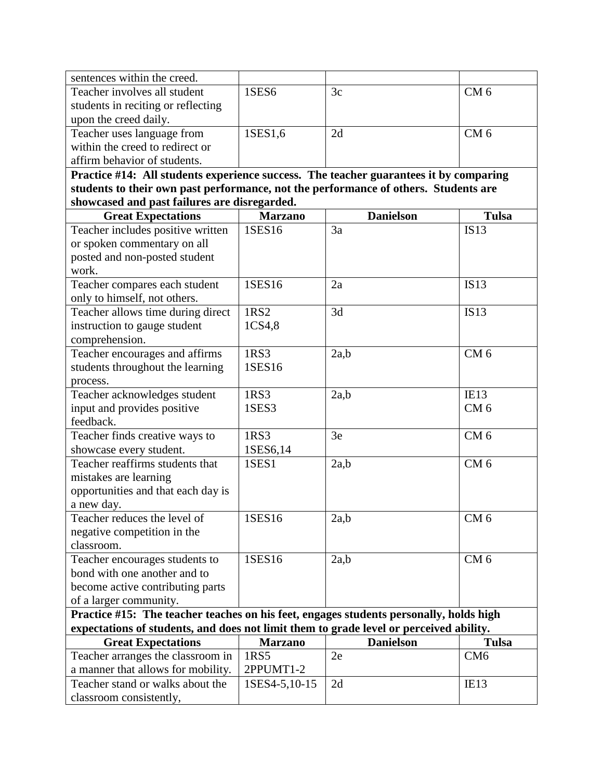| sentences within the creed.                                                            |                |                  |                  |
|----------------------------------------------------------------------------------------|----------------|------------------|------------------|
| Teacher involves all student                                                           | 1SES6          | 3c               | CM 6             |
| students in reciting or reflecting                                                     |                |                  |                  |
| upon the creed daily.                                                                  |                |                  |                  |
| Teacher uses language from                                                             | 1SES1,6        | 2d               | CM <sub>6</sub>  |
| within the creed to redirect or                                                        |                |                  |                  |
| affirm behavior of students.                                                           |                |                  |                  |
| Practice #14: All students experience success. The teacher guarantees it by comparing  |                |                  |                  |
| students to their own past performance, not the performance of others. Students are    |                |                  |                  |
| showcased and past failures are disregarded.                                           |                |                  |                  |
| <b>Great Expectations</b>                                                              | <b>Marzano</b> | <b>Danielson</b> | <b>Tulsa</b>     |
| Teacher includes positive written                                                      | 1SES16         | 3a               | <b>IS13</b>      |
| or spoken commentary on all                                                            |                |                  |                  |
| posted and non-posted student                                                          |                |                  |                  |
| work.                                                                                  |                |                  |                  |
| Teacher compares each student                                                          | 1SES16         | 2a               | <b>IS13</b>      |
| only to himself, not others.                                                           |                |                  |                  |
| Teacher allows time during direct                                                      | 1RS2           | 3d               | IS13             |
| instruction to gauge student                                                           | 1CS4,8         |                  |                  |
| comprehension.                                                                         |                |                  |                  |
| Teacher encourages and affirms                                                         | 1RS3           | 2a,b             | CM <sub>6</sub>  |
| students throughout the learning                                                       | 1SES16         |                  |                  |
| process.                                                                               |                |                  |                  |
| Teacher acknowledges student                                                           | 1RS3           | 2a,b             | IE13             |
| input and provides positive                                                            | 1SES3          |                  | CM <sub>6</sub>  |
| feedback.                                                                              |                |                  |                  |
| Teacher finds creative ways to                                                         | 1RS3           | 3e               | CM <sub>6</sub>  |
| showcase every student.                                                                | 1SES6,14       |                  |                  |
| Teacher reaffirms students that                                                        | 1SES1          | 2a,b             | CM <sub>6</sub>  |
| mistakes are learning                                                                  |                |                  |                  |
| opportunities and that each day is                                                     |                |                  |                  |
| a new day.                                                                             |                |                  |                  |
| Teacher reduces the level of                                                           | 1SES16         | 2a,b             | CM <sub>6</sub>  |
| negative competition in the                                                            |                |                  |                  |
| classroom.                                                                             |                |                  |                  |
| Teacher encourages students to                                                         | 1SES16         | 2a,b             | CM <sub>6</sub>  |
| bond with one another and to                                                           |                |                  |                  |
| become active contributing parts                                                       |                |                  |                  |
| of a larger community.                                                                 |                |                  |                  |
| Practice #15: The teacher teaches on his feet, engages students personally, holds high |                |                  |                  |
| expectations of students, and does not limit them to grade level or perceived ability. |                |                  |                  |
| <b>Great Expectations</b>                                                              | <b>Marzano</b> | <b>Danielson</b> | <b>Tulsa</b>     |
| Teacher arranges the classroom in                                                      | 1RS5           | 2e               | CM <sub>6</sub>  |
| a manner that allows for mobility.                                                     | 2PPUMT1-2      |                  |                  |
| Teacher stand or walks about the                                                       | 1SES4-5,10-15  | 2d               | IE <sub>13</sub> |
| classroom consistently,                                                                |                |                  |                  |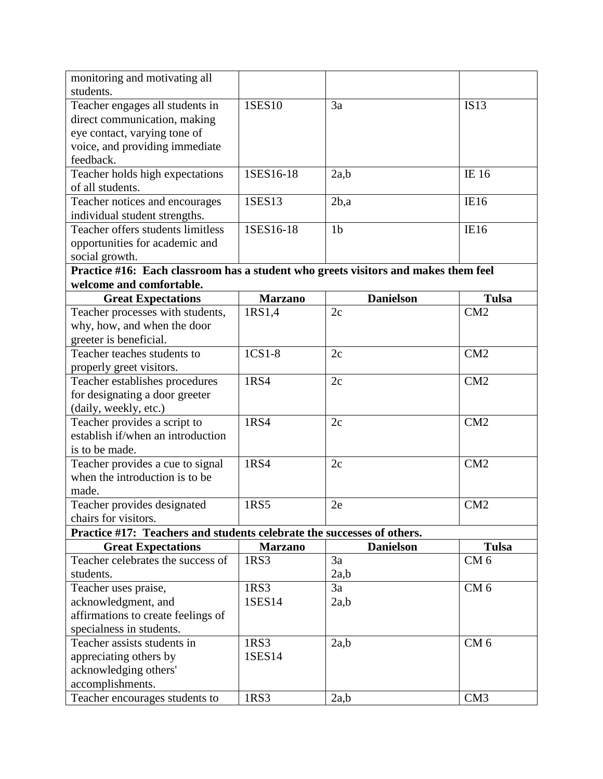| monitoring and motivating all                                                                                                        |                        |                  |                                    |
|--------------------------------------------------------------------------------------------------------------------------------------|------------------------|------------------|------------------------------------|
| students.                                                                                                                            |                        |                  |                                    |
| Teacher engages all students in                                                                                                      | 1SES10                 | 3a               | <b>IS13</b>                        |
| direct communication, making                                                                                                         |                        |                  |                                    |
| eye contact, varying tone of                                                                                                         |                        |                  |                                    |
| voice, and providing immediate                                                                                                       |                        |                  |                                    |
| feedback.                                                                                                                            |                        |                  |                                    |
| Teacher holds high expectations                                                                                                      | 1SES16-18              | 2a.b             | IE 16                              |
| of all students.                                                                                                                     |                        |                  |                                    |
| Teacher notices and encourages                                                                                                       | 1SES13                 | $2b$ ,a          | IE16                               |
| individual student strengths.                                                                                                        |                        |                  |                                    |
| Teacher offers students limitless                                                                                                    | 1SES16-18              | 1 <sub>b</sub>   | IE16                               |
| opportunities for academic and                                                                                                       |                        |                  |                                    |
| social growth.                                                                                                                       |                        |                  |                                    |
| Practice #16: Each classroom has a student who greets visitors and makes them feel                                                   |                        |                  |                                    |
| welcome and comfortable.                                                                                                             |                        |                  |                                    |
| <b>Great Expectations</b>                                                                                                            | <b>Marzano</b>         | <b>Danielson</b> | <b>Tulsa</b>                       |
| Teacher processes with students,                                                                                                     | 1RS1,4                 | 2c               | CM2                                |
| why, how, and when the door                                                                                                          |                        |                  |                                    |
| greeter is beneficial.                                                                                                               |                        |                  |                                    |
| Teacher teaches students to                                                                                                          | 1CS1-8                 | 2c               | CM2                                |
| properly greet visitors.                                                                                                             |                        |                  |                                    |
| Teacher establishes procedures                                                                                                       | 1RS4                   | 2c               | CM2                                |
| for designating a door greeter                                                                                                       |                        |                  |                                    |
| (daily, weekly, etc.)                                                                                                                |                        |                  |                                    |
| Teacher provides a script to                                                                                                         | 1RS4                   | 2c               | CM2                                |
| establish if/when an introduction                                                                                                    |                        |                  |                                    |
| is to be made.                                                                                                                       |                        |                  |                                    |
| Teacher provides a cue to signal                                                                                                     | 1RS <sub>4</sub>       | 2c               | CM2                                |
| when the introduction is to be                                                                                                       |                        |                  |                                    |
| made.                                                                                                                                |                        |                  |                                    |
| Teacher provides designated                                                                                                          | 1RS5                   | 2e               | CM <sub>2</sub>                    |
| chairs for visitors.                                                                                                                 |                        |                  |                                    |
| Practice #17: Teachers and students celebrate the successes of others.                                                               |                        |                  |                                    |
| <b>Great Expectations</b>                                                                                                            | <b>Marzano</b>         | <b>Danielson</b> | <b>Tulsa</b>                       |
| Teacher celebrates the success of                                                                                                    | 1RS3                   | 3a               | CM <sub>6</sub>                    |
| students.                                                                                                                            |                        | 2a,b             |                                    |
| Teacher uses praise,                                                                                                                 | 1RS3                   | 3a               | CM <sub>6</sub>                    |
| acknowledgment, and                                                                                                                  | 1SES14                 | 2a,b             |                                    |
| affirmations to create feelings of                                                                                                   |                        |                  |                                    |
| specialness in students.                                                                                                             |                        |                  |                                    |
|                                                                                                                                      |                        |                  |                                    |
|                                                                                                                                      |                        |                  |                                    |
|                                                                                                                                      |                        |                  |                                    |
|                                                                                                                                      |                        |                  |                                    |
|                                                                                                                                      |                        |                  |                                    |
| Teacher assists students in<br>appreciating others by<br>acknowledging others'<br>accomplishments.<br>Teacher encourages students to | 1RS3<br>1SES14<br>1RS3 | 2a,b<br>2a,b     | CM <sub>6</sub><br>CM <sub>3</sub> |